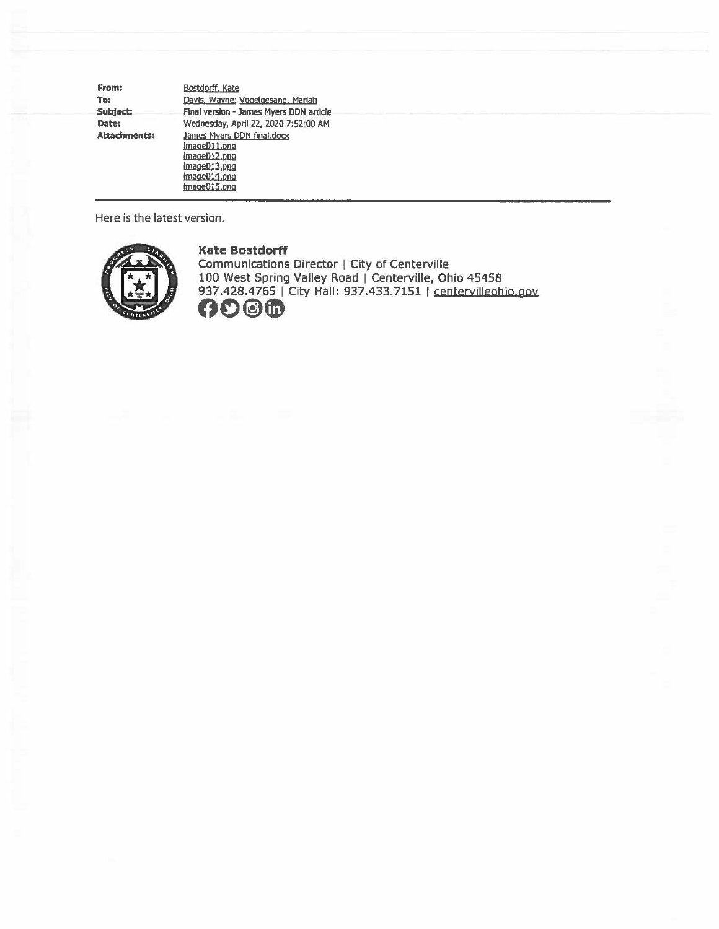| From:               | Bostdorff, Kate                                                                                            |
|---------------------|------------------------------------------------------------------------------------------------------------|
| To:                 | Davis, Wayne; Vogelgesang, Mariah                                                                          |
| Subject:            | Final version - James Myers DDN article                                                                    |
| Date:               | Wednesday, April 22, 2020 7:52:00 AM                                                                       |
| <b>Attachments:</b> | James Myers DDN final.docx<br>Image011.png<br>image012.png<br>image013.png<br>image014.png<br>image015.png |

Here is the latest version.



**Kate Bostdorff** 

Communications Director | City of Centerville 100 West Spring Valley Road | Centerville, Ohio 45458 937.428.4765 | City Hall: 937.433.7151 | centervilleohio.gov **00@0**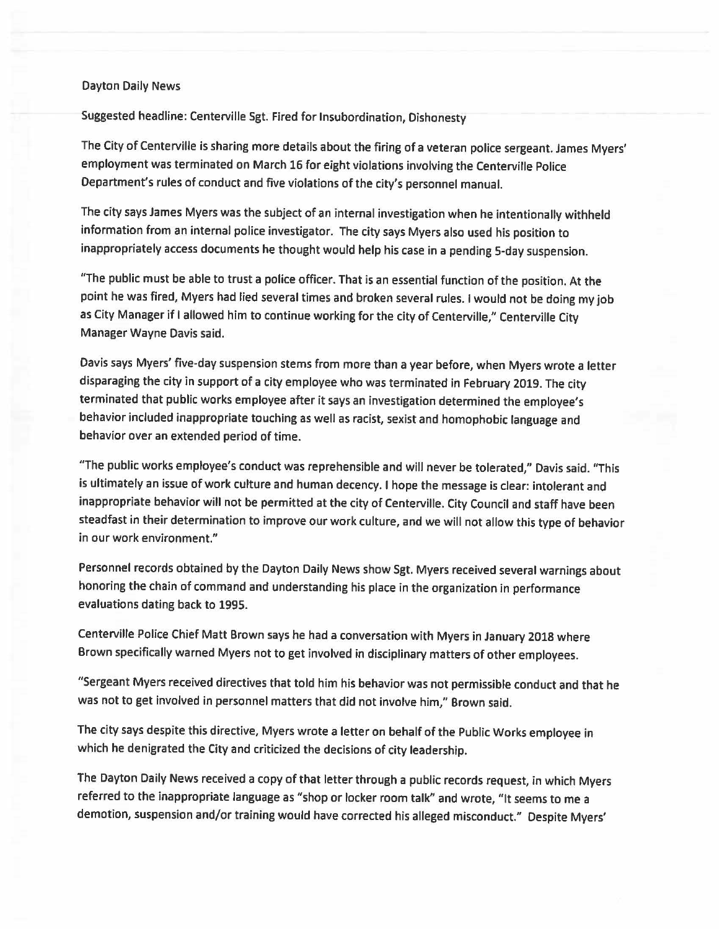## Dayton Daily News

Suggested headline: Centerville Sgt. Fired for Insubordination, Dishonesty

The City of Centerville is sharing more details about the firing of a veteran police sergeant. James Myers' employment was terminated on March 16 for eight violations involving the Centerville Police Department's rules of conduct and five violations of the city's personnel manual.

The city says James Myers was the subject of an internal investigation when he intentionally withheld information from an internal police investigator. The city says Myers also used his position to inappropriately access documents he thought would help his case in a pending 5-day suspension.

"The public must be able to trust a police officer. That is an essential function of the position. At the point he was fired, Myers had lied several times and broken several rules. I would not be doing my job as City Manager if I allowed him to continue working for the city of Centerville," Centerville City Manager Wayne Davis said.

Davis says Myers' five-day suspension stems from more than a year before, when Myers wrote a letter disparaging the city in support of a city employee who was terminated in February 2019. The city terminated that public works employee after it says an investigation determined the employee's behavior included inappropriate touching as well as racist, sexist and homophobic language and behavior over an extended period of time.

"The public works employee's conduct was reprehensible and will never be tolerated," Davis said. "This is ultimately an issue of work culture and human decency. I hope the message is clear: intolerant and inappropriate behavior will not be permitted at the city of Centerville. City Council and staff have been steadfast in their determination to improve our work culture, and we will not allow this type of behavior in our work environment."

Personnel records obtained by the Dayton Daily News show Sgt. Myers received several warnings about honoring the chain of command and understanding his place in the organization in performance evaluations dating back to 1995.

Centerville Police Chief Matt Brown says he had a conversation with Myers in January 2018 where Brown specifically warned Myers not to get involved in disciplinary matters of other employees.

"Sergeant Myers received directives that told him his behavior was not permissible conduct and that he was not to get involved in personnel matters that did not involve him," Brown said.

The city says despite this directive, Myers wrote a letter on behalf of the Public Works employee in which he denigrated the City and criticized the decisions of city leadership.

The Dayton Daily News received a copy of that letter through a public records request, in which Myers referred to the inappropriate language as "shop or locker room talk" and wrote, "It seems to me a demotion, suspension and/or training would have corrected his alleged misconduct." Despite Myers'